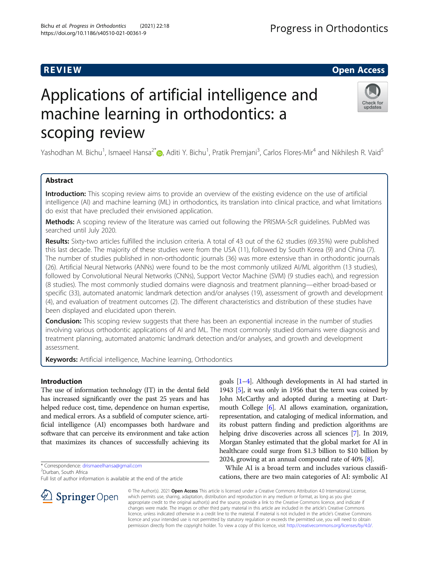# Applications of artificial intelligence and machine learning in orthodontics: a scoping review

Yashodhan M. Bichu<sup>1</sup>, Ismaeel Hansa<sup>2[\\*](http://orcid.org/0000-0001-6070-4534)</sup>®, Aditi Y. Bichu<sup>1</sup>, Pratik Premjani<sup>3</sup>, Carlos Flores-Mir<sup>4</sup> and Nikhilesh R. Vaid<sup>5</sup>

# Abstract

Introduction: This scoping review aims to provide an overview of the existing evidence on the use of artificial intelligence (AI) and machine learning (ML) in orthodontics, its translation into clinical practice, and what limitations do exist that have precluded their envisioned application.

Methods: A scoping review of the literature was carried out following the PRISMA-ScR guidelines. PubMed was searched until July 2020.

Results: Sixty-two articles fulfilled the inclusion criteria. A total of 43 out of the 62 studies (69.35%) were published this last decade. The majority of these studies were from the USA (11), followed by South Korea (9) and China (7). The number of studies published in non-orthodontic journals (36) was more extensive than in orthodontic journals (26). Artificial Neural Networks (ANNs) were found to be the most commonly utilized AI/ML algorithm (13 studies), followed by Convolutional Neural Networks (CNNs), Support Vector Machine (SVM) (9 studies each), and regression (8 studies). The most commonly studied domains were diagnosis and treatment planning—either broad-based or specific (33), automated anatomic landmark detection and/or analyses (19), assessment of growth and development (4), and evaluation of treatment outcomes (2). The different characteristics and distribution of these studies have been displayed and elucidated upon therein.

**Conclusion:** This scoping review suggests that there has been an exponential increase in the number of studies involving various orthodontic applications of AI and ML. The most commonly studied domains were diagnosis and treatment planning, automated anatomic landmark detection and/or analyses, and growth and development assessment.

Keywords: Artificial intelligence, Machine learning, Orthodontics

# Introduction

The use of information technology (IT) in the dental field has increased significantly over the past 25 years and has helped reduce cost, time, dependence on human expertise, and medical errors. As a subfield of computer science, artificial intelligence (AI) encompasses both hardware and software that can perceive its environment and take action that maximizes its chances of successfully achieving its

\* Correspondence: [drismaeelhansa@gmail.com](mailto:drismaeelhansa@gmail.com) <sup>2</sup>

Progress in Orthodontics

1943 [\[5\]](#page-8-0), it was only in 1956 that the term was coined by John McCarthy and adopted during a meeting at Dartmouth College [\[6\]](#page-8-0). AI allows examination, organization, representation, and cataloging of medical information, and its robust pattern finding and prediction algorithms are helping drive discoveries across all sciences [[7](#page-8-0)]. In 2019, Morgan Stanley estimated that the global market for AI in healthcare could surge from \$1.3 billion to \$10 billion by 2024, growing at an annual compound rate of 40% [[8](#page-8-0)]. While AI is a broad term and includes various classifi-

goals [[1](#page-8-0)–[4\]](#page-8-0). Although developments in AI had started in

cations, there are two main categories of AI: symbolic AI

© The Author(s). 2021 Open Access This article is licensed under a Creative Commons Attribution 4.0 International License, which permits use, sharing, adaptation, distribution and reproduction in any medium or format, as long as you give appropriate credit to the original author(s) and the source, provide a link to the Creative Commons licence, and indicate if changes were made. The images or other third party material in this article are included in the article's Creative Commons licence, unless indicated otherwise in a credit line to the material. If material is not included in the article's Creative Commons licence and your intended use is not permitted by statutory regulation or exceeds the permitted use, you will need to obtain permission directly from the copyright holder. To view a copy of this licence, visit <http://creativecommons.org/licenses/by/4.0/>.







Durban, South Africa

Full list of author information is available at the end of the article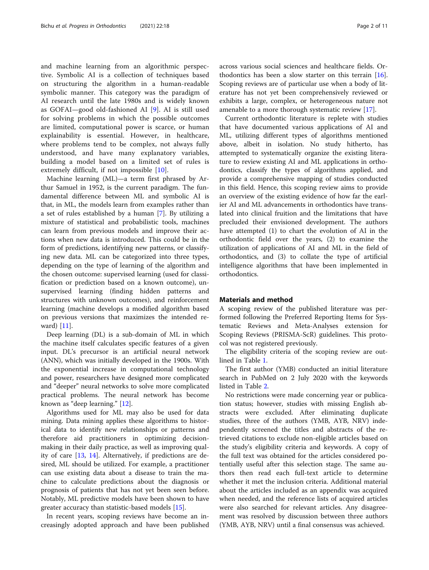and machine learning from an algorithmic perspective. Symbolic AI is a collection of techniques based on structuring the algorithm in a human-readable symbolic manner. This category was the paradigm of AI research until the late 1980s and is widely known as GOFAI—good old-fashioned AI [\[9](#page-8-0)]. AI is still used for solving problems in which the possible outcomes are limited, computational power is scarce, or human explainability is essential. However, in healthcare, where problems tend to be complex, not always fully understood, and have many explanatory variables, building a model based on a limited set of rules is extremely difficult, if not impossible [[10\]](#page-8-0).

Machine learning (ML)—a term first phrased by Arthur Samuel in 1952, is the current paradigm. The fundamental difference between ML and symbolic AI is that, in ML, the models learn from examples rather than a set of rules established by a human [\[7](#page-8-0)]. By utilizing a mixture of statistical and probabilistic tools, machines can learn from previous models and improve their actions when new data is introduced. This could be in the form of predictions, identifying new patterns, or classifying new data. ML can be categorized into three types, depending on the type of learning of the algorithm and the chosen outcome: supervised learning (used for classification or prediction based on a known outcome), unsupervised learning (finding hidden patterns and structures with unknown outcomes), and reinforcement learning (machine develops a modified algorithm based on previous versions that maximizes the intended reward) [\[11\]](#page-8-0).

Deep learning (DL) is a sub-domain of ML in which the machine itself calculates specific features of a given input. DL's precursor is an artificial neural network (ANN), which was initially developed in the 1900s. With the exponential increase in computational technology and power, researchers have designed more complicated and "deeper" neural networks to solve more complicated practical problems. The neural network has become known as "deep learning." [\[12\]](#page-8-0).

Algorithms used for ML may also be used for data mining. Data mining applies these algorithms to historical data to identify new relationships or patterns and therefore aid practitioners in optimizing decisionmaking in their daily practice, as well as improving quality of care [\[13](#page-8-0), [14](#page-8-0)]. Alternatively, if predictions are desired, ML should be utilized. For example, a practitioner can use existing data about a disease to train the machine to calculate predictions about the diagnosis or prognosis of patients that has not yet been seen before. Notably, ML predictive models have been shown to have greater accuracy than statistic-based models [\[15](#page-8-0)].

In recent years, scoping reviews have become an increasingly adopted approach and have been published across various social sciences and healthcare fields. Orthodontics has been a slow starter on this terrain [\[16](#page-8-0)]. Scoping reviews are of particular use when a body of literature has not yet been comprehensively reviewed or exhibits a large, complex, or heterogeneous nature not amenable to a more thorough systematic review [[17\]](#page-8-0).

Current orthodontic literature is replete with studies that have documented various applications of AI and ML, utilizing different types of algorithms mentioned above, albeit in isolation. No study hitherto, has attempted to systematically organize the existing literature to review existing AI and ML applications in orthodontics, classify the types of algorithms applied, and provide a comprehensive mapping of studies conducted in this field. Hence, this scoping review aims to provide an overview of the existing evidence of how far the earlier AI and ML advancements in orthodontics have translated into clinical fruition and the limitations that have precluded their envisioned development. The authors have attempted (1) to chart the evolution of AI in the orthodontic field over the years, (2) to examine the utilization of applications of AI and ML in the field of orthodontics, and (3) to collate the type of artificial intelligence algorithms that have been implemented in orthodontics.

# Materials and method

A scoping review of the published literature was performed following the Preferred Reporting Items for Systematic Reviews and Meta-Analyses extension for Scoping Reviews (PRISMA-ScR) guidelines. This protocol was not registered previously.

The eligibility criteria of the scoping review are outlined in Table [1.](#page-2-0)

The first author (YMB) conducted an initial literature search in PubMed on 2 July 2020 with the keywords listed in Table [2](#page-2-0).

No restrictions were made concerning year or publication status; however, studies with missing English abstracts were excluded. After eliminating duplicate studies, three of the authors (YMB, AYB, NRV) independently screened the titles and abstracts of the retrieved citations to exclude non-eligible articles based on the study's eligibility criteria and keywords. A copy of the full text was obtained for the articles considered potentially useful after this selection stage. The same authors then read each full-text article to determine whether it met the inclusion criteria. Additional material about the articles included as an appendix was acquired when needed, and the reference lists of acquired articles were also searched for relevant articles. Any disagreement was resolved by discussion between three authors (YMB, AYB, NRV) until a final consensus was achieved.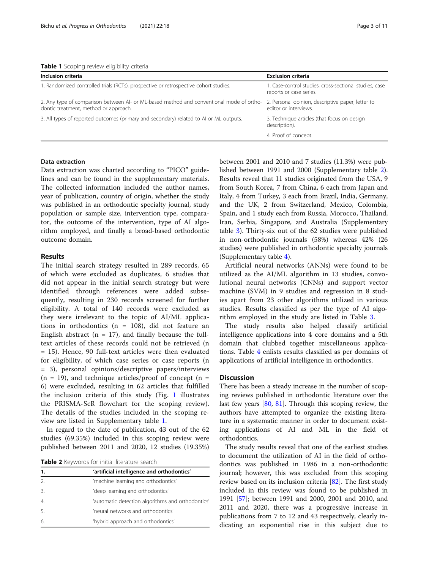<span id="page-2-0"></span>

|  |  |  | Table 1 Scoping review eligibility criteria |  |
|--|--|--|---------------------------------------------|--|
|--|--|--|---------------------------------------------|--|

| Inclusion criteria                                                                                                                | <b>Exclusion criteria</b>                                                         |
|-----------------------------------------------------------------------------------------------------------------------------------|-----------------------------------------------------------------------------------|
| 1. Randomized controlled trials (RCTs), prospective or retrospective cohort studies.                                              | 1. Case-control studies, cross-sectional studies, case<br>reports or case series. |
| 2. Any type of comparison between AI- or ML-based method and conventional mode of ortho-<br>dontic treatment, method or approach. | 2. Personal opinion, descriptive paper, letter to<br>editor or interviews.        |
| 3. All types of reported outcomes (primary and secondary) related to Al or ML outputs.                                            | 3. Technique articles (that focus on design<br>description).                      |
|                                                                                                                                   | 4. Proof of concept.                                                              |

# Data extraction

Data extraction was charted according to "PICO" guidelines and can be found in the supplementary materials. The collected information included the author names, year of publication, country of origin, whether the study was published in an orthodontic specialty journal, study population or sample size, intervention type, comparator, the outcome of the intervention, type of AI algorithm employed, and finally a broad-based orthodontic outcome domain.

# Results

The initial search strategy resulted in 289 records, 65 of which were excluded as duplicates, 6 studies that did not appear in the initial search strategy but were identified through references were added subsequently, resulting in 230 records screened for further eligibility. A total of 140 records were excluded as they were irrelevant to the topic of AI/ML applications in orthodontics (n = 108), did not feature an English abstract ( $n = 17$ ), and finally because the fulltext articles of these records could not be retrieved (n = 15). Hence, 90 full-text articles were then evaluated for eligibility, of which case series or case reports (n = 3), personal opinions/descriptive papers/interviews  $(n = 19)$ , and technique articles/proof of concept  $(n = 19)$ 6) were excluded, resulting in 62 articles that fulfilled the inclusion criteria of this study (Fig. [1](#page-3-0) illustrates the PRISMA-ScR flowchart for the scoping review). The details of the studies included in the scoping review are listed in Supplementary table [1.](#page-7-0)

In regard to the date of publication, 43 out of the 62 studies (69.35%) included in this scoping review were published between 2011 and 2020, 12 studies (19.35%)

Table 2 Keywords for initial literature search

| 'artificial intelligence and orthodontics'        |  |  |  |
|---------------------------------------------------|--|--|--|
| 'machine learning and orthodontics'               |  |  |  |
| 'deep learning and orthodontics'                  |  |  |  |
| 'automatic detection algorithms and orthodontics' |  |  |  |
| 'neural networks and orthodontics'                |  |  |  |
| 'hybrid approach and orthodontics'                |  |  |  |
|                                                   |  |  |  |

between 2001 and 2010 and 7 studies (11.3%) were published between 1991 and 2000 (Supplementary table [2](#page-7-0)). Results reveal that 11 studies originated from the USA, 9 from South Korea, 7 from China, 6 each from Japan and Italy, 4 from Turkey, 3 each from Brazil, India, Germany, and the UK, 2 from Switzerland, Mexico, Colombia, Spain, and 1 study each from Russia, Morocco, Thailand, Iran, Serbia, Singapore, and Australia (Supplementary table [3\)](#page-7-0). Thirty-six out of the 62 studies were published in non-orthodontic journals (58%) whereas 42% (26 studies) were published in orthodontic specialty journals (Supplementary table [4\)](#page-7-0).

Artificial neural networks (ANNs) were found to be utilized as the AI/ML algorithm in 13 studies, convolutional neural networks (CNNs) and support vector machine (SVM) in 9 studies and regression in 8 studies apart from 23 other algorithms utilized in various studies. Results classified as per the type of AI algorithm employed in the study are listed in Table [3.](#page-4-0)

The study results also helped classify artificial intelligence applications into 4 core domains and a 5th domain that clubbed together miscellaneous applications. Table [4](#page-5-0) enlists results classified as per domains of applications of artificial intelligence in orthodontics.

# **Discussion**

There has been a steady increase in the number of scoping reviews published in orthodontic literature over the last few years [\[80,](#page-10-0) [81](#page-10-0)]. Through this scoping review, the authors have attempted to organize the existing literature in a systematic manner in order to document existing applications of AI and ML in the field of orthodontics.

The study results reveal that one of the earliest studies to document the utilization of AI in the field of orthodontics was published in 1986 in a non-orthodontic journal; however, this was excluded from this scoping review based on its inclusion criteria [[82](#page-10-0)]. The first study included in this review was found to be published in 1991 [\[57](#page-9-0)]; between 1991 and 2000, 2001 and 2010, and 2011 and 2020, there was a progressive increase in publications from 7 to 12 and 43 respectively, clearly indicating an exponential rise in this subject due to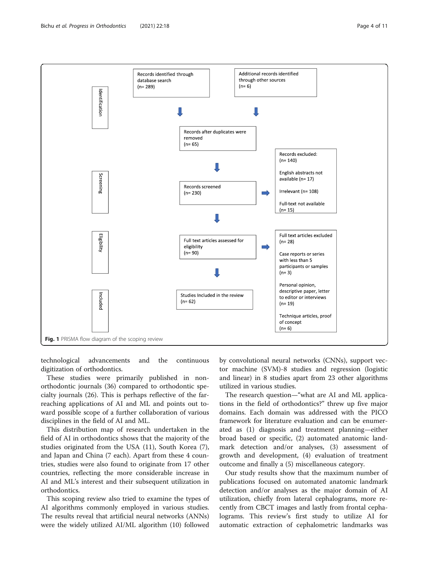<span id="page-3-0"></span>

technological advancements and the continuous digitization of orthodontics.

These studies were primarily published in nonorthodontic journals (36) compared to orthodontic specialty journals (26). This is perhaps reflective of the farreaching applications of AI and ML and points out toward possible scope of a further collaboration of various disciplines in the field of AI and ML.

This distribution map of research undertaken in the field of AI in orthodontics shows that the majority of the studies originated from the USA (11), South Korea (7), and Japan and China (7 each). Apart from these 4 countries, studies were also found to originate from 17 other countries, reflecting the more considerable increase in AI and ML's interest and their subsequent utilization in orthodontics.

This scoping review also tried to examine the types of AI algorithms commonly employed in various studies. The results reveal that artificial neural networks (ANNs) were the widely utilized AI/ML algorithm (10) followed

by convolutional neural networks (CNNs), support vector machine (SVM)-8 studies and regression (logistic and linear) in 8 studies apart from 23 other algorithms utilized in various studies.

The research question—"what are AI and ML applications in the field of orthodontics?" threw up five major domains. Each domain was addressed with the PICO framework for literature evaluation and can be enumerated as (1) diagnosis and treatment planning—either broad based or specific, (2) automated anatomic landmark detection and/or analyses, (3) assessment of growth and development, (4) evaluation of treatment outcome and finally a (5) miscellaneous category.

Our study results show that the maximum number of publications focused on automated anatomic landmark detection and/or analyses as the major domain of AI utilization, chiefly from lateral cephalograms, more recently from CBCT images and lastly from frontal cephalograms. This review's first study to utilize AI for automatic extraction of cephalometric landmarks was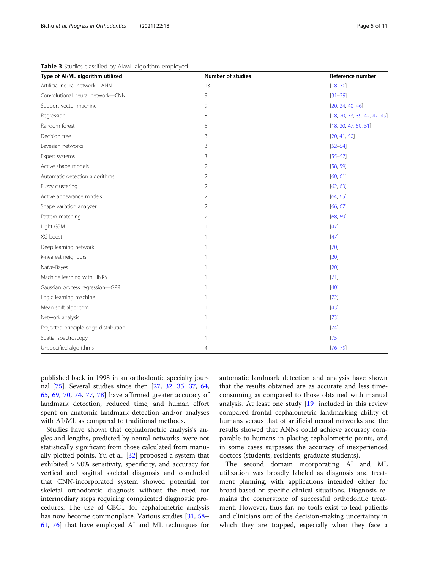| Type of AI/ML algorithm utilized      | Number of studies | Reference number              |
|---------------------------------------|-------------------|-------------------------------|
| Artificial neural network-ANN         | 13                | $[18 - 30]$                   |
| Convolutional neural network-CNN      | 9                 | $[31 - 39]$                   |
| Support vector machine                | 9                 | $[20, 24, 40-46]$             |
| Regression                            | 8                 | $[18, 20, 33, 39, 42, 47-49]$ |
| Random forest                         | 5                 | [18, 20, 47, 50, 51]          |
| Decision tree                         | 3                 | [20, 41, 50]                  |
| Bayesian networks                     | 3                 | $[52 - 54]$                   |
| Expert systems                        | 3                 | $[55 - 57]$                   |
| Active shape models                   | 2                 | [58, 59]                      |
| Automatic detection algorithms        | $\overline{2}$    | [60, 61]                      |
| Fuzzy clustering                      | $\overline{2}$    | [62, 63]                      |
| Active appearance models              | 2                 | [64, 65]                      |
| Shape variation analyzer              | 2                 | [66, 67]                      |
| Pattern matching                      | 2                 | [68, 69]                      |
| Light GBM                             |                   | $[47]$                        |
| XG boost                              |                   | $[47]$                        |
| Deep learning network                 | 1                 | $[70]$                        |
| k-nearest neighbors                   | 1                 | $[20]$                        |
| Naïve-Bayes                           | 1                 | $[20]$                        |
| Machine learning with LINKS           |                   | $[71]$                        |
| Gaussian process regression-GPR       | 1                 | $[40]$                        |
| Logic learning machine                |                   | $[72]$                        |
| Mean shift algorithm                  |                   | $[43]$                        |
| Network analysis                      | 1                 | $[73]$                        |
| Projected principle edge distribution |                   | $[74]$                        |
| Spatial spectroscopy                  |                   | $[75]$                        |
| Unspecified algorithms                | 4                 | $[76 - 79]$                   |

<span id="page-4-0"></span>Table 3 Studies classified by AI/ML algorithm employed

published back in 1998 in an orthodontic specialty journal [[75](#page-10-0)]. Several studies since then [\[27,](#page-8-0) [32](#page-8-0), [35,](#page-9-0) [37](#page-9-0), [64](#page-9-0), [65,](#page-9-0) [69](#page-9-0), [70,](#page-9-0) [74](#page-10-0), [77,](#page-10-0) [78\]](#page-10-0) have affirmed greater accuracy of landmark detection, reduced time, and human effort spent on anatomic landmark detection and/or analyses with AI/ML as compared to traditional methods.

Studies have shown that cephalometric analysis's angles and lengths, predicted by neural networks, were not statistically significant from those calculated from manually plotted points. Yu et al. [\[32](#page-8-0)] proposed a system that exhibited > 90% sensitivity, specificity, and accuracy for vertical and sagittal skeletal diagnosis and concluded that CNN-incorporated system showed potential for skeletal orthodontic diagnosis without the need for intermediary steps requiring complicated diagnostic procedures. The use of CBCT for cephalometric analysis has now become commonplace. Various studies [[31,](#page-8-0) [58](#page-9-0)– [61,](#page-9-0) [76\]](#page-10-0) that have employed AI and ML techniques for automatic landmark detection and analysis have shown that the results obtained are as accurate and less timeconsuming as compared to those obtained with manual analysis. At least one study [[19\]](#page-8-0) included in this review compared frontal cephalometric landmarking ability of humans versus that of artificial neural networks and the results showed that ANNs could achieve accuracy comparable to humans in placing cephalometric points, and in some cases surpasses the accuracy of inexperienced doctors (students, residents, graduate students).

The second domain incorporating AI and ML utilization was broadly labeled as diagnosis and treatment planning, with applications intended either for broad-based or specific clinical situations. Diagnosis remains the cornerstone of successful orthodontic treatment. However, thus far, no tools exist to lead patients and clinicians out of the decision-making uncertainty in which they are trapped, especially when they face a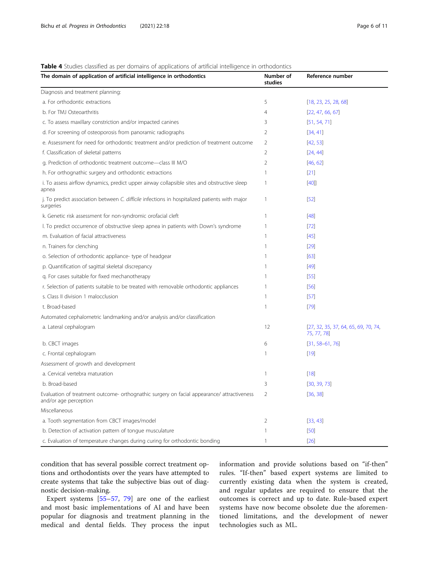# <span id="page-5-0"></span>Table 4 Studies classified as per domains of applications of artificial intelligence in orthodontics

| The domain of application of artificial intelligence in orthodontics                                                | Number of<br>studies | Reference number                                    |
|---------------------------------------------------------------------------------------------------------------------|----------------------|-----------------------------------------------------|
| Diagnosis and treatment planning:                                                                                   |                      |                                                     |
| a. For orthodontic extractions                                                                                      | 5                    | [18, 23, 25, 28, 68]                                |
| b. For TMJ Osteoarthritis                                                                                           | 4                    | [22, 47, 66, 67]                                    |
| c. To assess maxillary constriction and/or impacted canines                                                         | 3                    | [51, 54, 71]                                        |
| d. For screening of osteoporosis from panoramic radiographs                                                         | 2                    | [34, 41]                                            |
| e. Assessment for need for orthodontic treatment and/or prediction of treatment outcome                             | 2                    | [42, 53]                                            |
| f. Classification of skeletal patterns                                                                              | 2                    | [24, 44]                                            |
| g. Prediction of orthodontic treatment outcome-class III M/O                                                        | 2                    | [46, 62]                                            |
| h. For orthognathic surgery and orthodontic extractions                                                             | 1                    | $[21]$                                              |
| i. To assess airflow dynamics, predict upper airway collapsible sites and obstructive sleep<br>apnea                | $\mathbf{1}$         | $[40]$                                              |
| j. To predict association between C. difficile infections in hospitalized patients with major<br>surgeries          | 1                    | $[52]$                                              |
| k. Genetic risk assessment for non-syndromic orofacial cleft                                                        | 1                    | $[48]$                                              |
| I. To predict occurrence of obstructive sleep apnea in patients with Down's syndrome                                | -1                   | $[72]$                                              |
| m. Evaluation of facial attractiveness                                                                              | ı                    | $[45]$                                              |
| n. Trainers for clenching                                                                                           | -1                   | $[29]$                                              |
| o. Selection of orthodontic appliance- type of headgear                                                             |                      | [63]                                                |
| p. Quantification of sagittal skeletal discrepancy                                                                  |                      | $[49]$                                              |
| q. For cases suitable for fixed mechanotherapy                                                                      |                      | $[55]$                                              |
| r. Selection of patients suitable to be treated with removable orthodontic appliances                               |                      | [56]                                                |
| s. Class II division 1 malocclusion                                                                                 | 1                    | [57]                                                |
| t. Broad-based                                                                                                      | 1                    | $[79]$                                              |
| Automated cephalometric landmarking and/or analysis and/or classification                                           |                      |                                                     |
| a. Lateral cephalogram                                                                                              | 12                   | [27, 32, 35, 37, 64, 65, 69, 70, 74,<br>75, 77, 78] |
| b. CBCT images                                                                                                      | 6                    | $[31, 58 - 61, 76]$                                 |
| c. Frontal cephalogram                                                                                              | $\mathbf{1}$         | $[19]$                                              |
| Assessment of growth and development                                                                                |                      |                                                     |
| a. Cervical vertebra maturation                                                                                     | $\mathbf{1}$         | $[18]$                                              |
| b. Broad-based                                                                                                      | 3                    | [30, 39, 73]                                        |
| Evaluation of treatment outcome- orthognathic surgery on facial appearance/ attractiveness<br>and/or age perception | 2                    | [36, 38]                                            |
| Miscellaneous                                                                                                       |                      |                                                     |
| a. Tooth segmentation from CBCT images/model                                                                        | $\overline{2}$       | [33, 43]                                            |
| b. Detection of activation pattern of tongue musculature                                                            | 1                    | $[50]$                                              |
| c. Evaluation of temperature changes during curing for orthodontic bonding                                          | $\mathbf{1}$         | $[26]$                                              |

condition that has several possible correct treatment options and orthodontists over the years have attempted to create systems that take the subjective bias out of diagnostic decision-making.

Expert systems [\[55](#page-9-0)–[57](#page-9-0), [79\]](#page-10-0) are one of the earliest and most basic implementations of AI and have been popular for diagnosis and treatment planning in the medical and dental fields. They process the input information and provide solutions based on "if-then" rules. "If-then" based expert systems are limited to currently existing data when the system is created, and regular updates are required to ensure that the outcomes is correct and up to date. Rule-based expert systems have now become obsolete due the aforementioned limitations, and the development of newer technologies such as ML.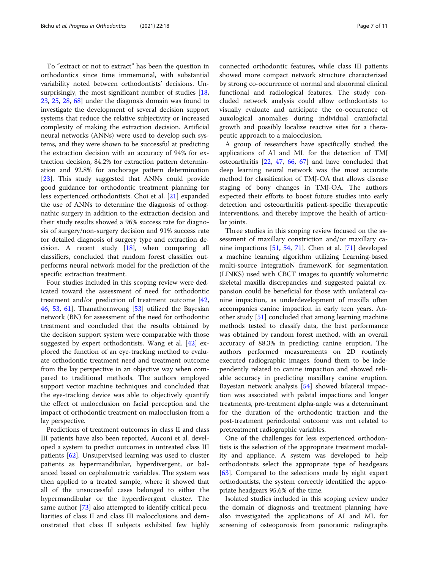To "extract or not to extract" has been the question in orthodontics since time immemorial, with substantial variability noted between orthodontists' decisions. Un-surprisingly, the most significant number of studies [[18](#page-8-0), [23,](#page-8-0) [25,](#page-8-0) [28,](#page-8-0) [68](#page-9-0)] under the diagnosis domain was found to investigate the development of several decision support systems that reduce the relative subjectivity or increased complexity of making the extraction decision. Artificial neural networks (ANNs) were used to develop such systems, and they were shown to be successful at predicting the extraction decision with an accuracy of 94% for extraction decision, 84.2% for extraction pattern determination and 92.8% for anchorage pattern determination [[23\]](#page-8-0). This study suggested that ANNs could provide good guidance for orthodontic treatment planning for less experienced orthodontists. Choi et al. [\[21](#page-8-0)] expanded the use of ANNs to determine the diagnosis of orthognathic surgery in addition to the extraction decision and their study results showed a 96% success rate for diagnosis of surgery/non-surgery decision and 91% success rate for detailed diagnosis of surgery type and extraction decision. A recent study  $[18]$  $[18]$  $[18]$ , when comparing all classifiers, concluded that random forest classifier outperforms neural network model for the prediction of the specific extraction treatment.

Four studies included in this scoping review were dedicated toward the assessment of need for orthodontic treatment and/or prediction of treatment outcome [[42](#page-9-0), [46,](#page-9-0) [53,](#page-9-0) [61\]](#page-9-0). Thanathornwong [[53\]](#page-9-0) utilized the Bayesian network (BN) for assessment of the need for orthodontic treatment and concluded that the results obtained by the decision support system were comparable with those suggested by expert orthodontists. Wang et al. [[42\]](#page-9-0) explored the function of an eye-tracking method to evaluate orthodontic treatment need and treatment outcome from the lay perspective in an objective way when compared to traditional methods. The authors employed support vector machine techniques and concluded that the eye-tracking device was able to objectively quantify the effect of malocclusion on facial perception and the impact of orthodontic treatment on malocclusion from a lay perspective.

Predictions of treatment outcomes in class II and class III patients have also been reported. Auconi et al. developed a system to predict outcomes in untreated class III patients [[62](#page-9-0)]. Unsupervised learning was used to cluster patients as hypermandibular, hyperdivergent, or balanced based on cephalometric variables. The system was then applied to a treated sample, where it showed that all of the unsuccessful cases belonged to either the hypermandibular or the hyperdivergent cluster. The same author [\[73](#page-10-0)] also attempted to identify critical peculiarities of class II and class III malocclusions and demonstrated that class II subjects exhibited few highly connected orthodontic features, while class III patients showed more compact network structure characterized by strong co-occurrence of normal and abnormal clinical functional and radiological features. The study concluded network analysis could allow orthodontists to visually evaluate and anticipate the co-occurrence of auxological anomalies during individual craniofacial growth and possibly localize reactive sites for a therapeutic approach to a malocclusion.

A group of researchers have specifically studied the applications of AI and ML for the detection of TMJ osteoarthritis [\[22](#page-8-0), [47,](#page-9-0) [66](#page-9-0), [67\]](#page-9-0) and have concluded that deep learning neural network was the most accurate method for classification of TMJ-OA that allows disease staging of bony changes in TMJ-OA. The authors expected their efforts to boost future studies into early detection and osteoarthritis patient-specific therapeutic interventions, and thereby improve the health of articular joints.

Three studies in this scoping review focused on the assessment of maxillary constriction and/or maxillary canine impactions [[51,](#page-9-0) [54](#page-9-0), [71](#page-10-0)]. Chen et al. [[71\]](#page-10-0) developed a machine learning algorithm utilizing Learning-based multi-source IntegratioN frameworK for segmentation (LINKS) used with CBCT images to quantify volumetric skeletal maxilla discrepancies and suggested palatal expansion could be beneficial for those with unilateral canine impaction, as underdevelopment of maxilla often accompanies canine impaction in early teen years. Another study [\[51](#page-9-0)] concluded that among learning machine methods tested to classify data, the best performance was obtained by random forest method, with an overall accuracy of 88.3% in predicting canine eruption. The authors performed measurements on 2D routinely executed radiographic images, found them to be independently related to canine impaction and showed reliable accuracy in predicting maxillary canine eruption. Bayesian network analysis [[54\]](#page-9-0) showed bilateral impaction was associated with palatal impactions and longer treatments, pre-treatment alpha-angle was a determinant for the duration of the orthodontic traction and the post-treatment periodontal outcome was not related to pretreatment radiographic variables.

One of the challenges for less experienced orthodontists is the selection of the appropriate treatment modality and appliance. A system was developed to help orthodontists select the appropriate type of headgears [[63\]](#page-9-0). Compared to the selections made by eight expert orthodontists, the system correctly identified the appropriate headgears 95.6% of the time.

Isolated studies included in this scoping review under the domain of diagnosis and treatment planning have also investigated the applications of AI and ML for screening of osteoporosis from panoramic radiographs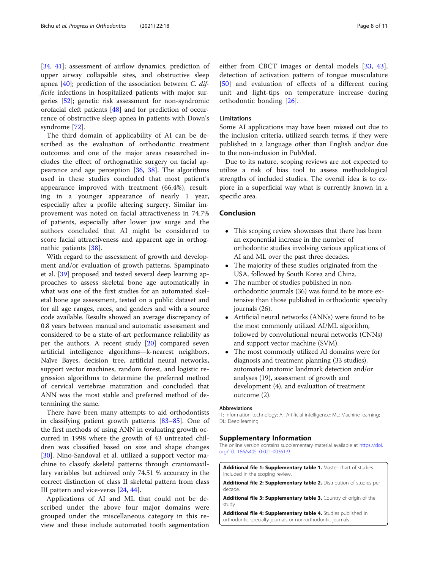<span id="page-7-0"></span>[[34,](#page-8-0) [41](#page-9-0)]; assessment of airflow dynamics, prediction of upper airway collapsible sites, and obstructive sleep apnea [\[40](#page-9-0)]; prediction of the association between C. difficile infections in hospitalized patients with major surgeries [\[52](#page-9-0)]; genetic risk assessment for non-syndromic orofacial cleft patients [[48\]](#page-9-0) and for prediction of occurrence of obstructive sleep apnea in patients with Down's syndrome [[72\]](#page-10-0).

The third domain of applicability of AI can be described as the evaluation of orthodontic treatment outcomes and one of the major areas researched includes the effect of orthognathic surgery on facial appearance and age perception [[36](#page-9-0), [38](#page-9-0)]. The algorithms used in these studies concluded that most patient's appearance improved with treatment (66.4%), resulting in a younger appearance of nearly 1 year, especially after a profile altering surgery. Similar improvement was noted on facial attractiveness in 74.7% of patients, especially after lower jaw surge and the authors concluded that AI might be considered to score facial attractiveness and apparent age in orthognathic patients [\[38](#page-9-0)].

With regard to the assessment of growth and development and/or evaluation of growth patterns. Spampinato et al. [\[39](#page-9-0)] proposed and tested several deep learning approaches to assess skeletal bone age automatically in what was one of the first studies for an automated skeletal bone age assessment, tested on a public dataset and for all age ranges, races, and genders and with a source code available. Results showed an average discrepancy of 0.8 years between manual and automatic assessment and considered to be a state-of-art performance reliability as per the authors. A recent study [\[20\]](#page-8-0) compared seven artificial intelligence algorithms—k-nearest neighbors, Naïve Bayes, decision tree, artificial neural networks, support vector machines, random forest, and logistic regression algorithms to determine the preferred method of cervical vertebrae maturation and concluded that ANN was the most stable and preferred method of determining the same.

There have been many attempts to aid orthodontists in classifying patient growth patterns [\[83](#page-10-0)–[85\]](#page-10-0). One of the first methods of using ANN in evaluating growth occurred in 1998 where the growth of 43 untreated children was classified based on size and shape changes [[30\]](#page-8-0). Nino-Sandoval et al. utilized a support vector machine to classify skeletal patterns through craniomaxillary variables but achieved only 74.51 % accuracy in the correct distinction of class II skeletal pattern from class III pattern and vice-versa [\[24,](#page-8-0) [44\]](#page-9-0).

Applications of AI and ML that could not be described under the above four major domains were grouped under the miscellaneous category in this review and these include automated tooth segmentation either from CBCT images or dental models [[33,](#page-8-0) [43](#page-9-0)], detection of activation pattern of tongue musculature [[50\]](#page-9-0) and evaluation of effects of a different curing unit and light-tips on temperature increase during orthodontic bonding [\[26](#page-8-0)].

# Limitations

Some AI applications may have been missed out due to the inclusion criteria, utilized search terms, if they were published in a language other than English and/or due to the non-inclusion in PubMed.

Due to its nature, scoping reviews are not expected to utilize a risk of bias tool to assess methodological strengths of included studies. The overall idea is to explore in a superficial way what is currently known in a specific area.

# Conclusion

- This scoping review showcases that there has been an exponential increase in the number of orthodontic studies involving various applications of AI and ML over the past three decades.
- The majority of these studies originated from the USA, followed by South Korea and China.
- The number of studies published in nonorthodontic journals (36) was found to be more extensive than those published in orthodontic specialty journals (26).
- Artificial neural networks (ANNs) were found to be the most commonly utilized AI/ML algorithm, followed by convolutional neural networks (CNNs) and support vector machine (SVM).
- The most commonly utilized AI domains were for diagnosis and treatment planning (33 studies), automated anatomic landmark detection and/or analyses (19), assessment of growth and development (4), and evaluation of treatment outcome (2).

#### Abbreviations

IT: Information technology; AI: Artificial intelligence; ML: Machine learning; DL: Deep learning

#### Supplementary Information

The online version contains supplementary material available at [https://doi.](https://doi.org/10.1186/s40510-021-00361-9) [org/10.1186/s40510-021-00361-9.](https://doi.org/10.1186/s40510-021-00361-9)

Additional file 1: Supplementary table 1. Master chart of studies included in the scoping review.

Additional file 2: Supplementary table 2. Distribution of studies per decade.

Additional file 3: Supplementary table 3. Country of origin of the study

Additional file 4: Supplementary table 4. Studies published in orthodontic specialty journals or non-orthodontic journals.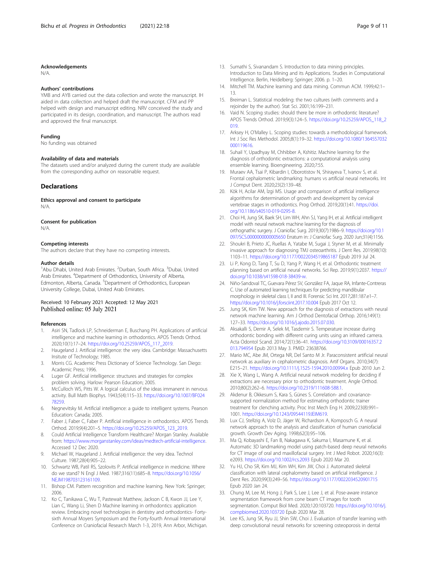#### <span id="page-8-0"></span>Acknowledgements

N/A.

#### Authors' contributions

YMB and AYB carried out the data collection and wrote the manuscript. IH aided in data collection and helped draft the manuscript. CFM and PP helped with design and manuscript editing. NRV conceived the study and participated in its design, coordination, and manuscript. The authors read and approved the final manuscript.

#### Funding

No funding was obtained

# Availability of data and materials

The datasets used and/or analyzed during the current study are available from the corresponding author on reasonable request.

# Declarations

Ethics approval and consent to participate N/A.

#### Consent for publication

N/A.

#### Competing interests

The authors declare that they have no competing interests.

#### Author details

<sup>1</sup>Abu Dhabi, United Arab Emirates. <sup>2</sup>Durban, South Africa. <sup>3</sup>Dubai, United Arab Emirates. <sup>4</sup>Department of Orthodontics, University of Alberta, Edmonton, Alberta, Canada. <sup>5</sup>Department of Orthodontics, European University College, Dubai, United Arab Emirates.

### Received: 10 February 2021 Accepted: 12 May 2021 Published online: 05 July 2021

#### References

- 1. Asiri SN, Tadlock LP, Schneiderman E, Buschang PH. Applications of artificial intelligence and machine learning in orthodontics. APOS Trends Orthod. 2020;10(1):17–24. [https://doi.org/10.25259/APOS\\_117\\_2019.](https://doi.org/10.25259/APOS_117_2019)
- 2. Haugeland J. Artificial intelligence: the very idea. Cambridge: Massachusetts Insitute of Technology; 1985.
- 3. Morris CG. Academic Press Dictionary of Science Technology. San Diego: Academic Press; 1996.
- 4. Luger GF. Artificial intelligence: structures and strategies for complex problem solving. Harlow: Pearson Education; 2005.
- 5. McCulloch WS, Pitts W. A logical calculus of the ideas immanent in nervous activity. Bull Math Biophys. 1943;5(4):115–33. [https://doi.org/10.1007/BF024](https://doi.org/10.1007/BF02478259) [78259.](https://doi.org/10.1007/BF02478259)
- 6. Negnevitsky M. Artificial intelligence: a guide to intelligent systems. Pearson Education: Canada; 2005.
- Faber J, Faber C, Faber P. Artificial intelligence in orthodontics. APOS Trends Orthod. 2019;9(4):201–5. [https://doi.org/10.25259/APOS\\_123\\_2019.](https://doi.org/10.25259/APOS_123_2019)
- 8. Could Artificial Intelligence Transform Healthcare? Morgan Stanley. Available from: <https://www.morganstanley.com/ideas/medtech-artificial-intelligence>. Accessed 12 Dec 2020.
- Michael W, Haugeland J. Artificial intelligence: the very idea. Technol Culture. 1987;28(4):905–22.
- 10. Schwartz WB, Patil RS, Szolovits P. Artificial intelligence in medicine. Where do we stand? N Engl J Med. 1987;316(11):685–8. [https://doi.org/10.1056/](https://doi.org/10.1056/NEJM198703123161109) [NEJM198703123161109.](https://doi.org/10.1056/NEJM198703123161109)
- 11. Bishop CM. Pattern recognition and machine learning. New York: Springer; 2006.
- 12. Ko C, Tanikawa C, Wu T, Pastewait Matthew, Jackson C B, Kwon JJ, Lee Y, Lian C, Wang Li, Shen D Machine learning in orthodontics: application review. Embracing novel technologies in dentistry and orthodontics- Fortysixth Annual Moyers Symposium and the Forty-fourth Annual International Conference on Craniofacial Research March 1-3, 2019, Ann Arbor, Michigan.
- 13. Sumathi S, Sivanandam S. Introduction to data mining principles. Introduction to Data Mining and its Applications. Studies in Computational Intelligence. Berlin, Heidelberg: Springer; 2006. p. 1–20.
- 14. Mitchell TM. Machine learning and data mining. Commun ACM. 1999;42:1– 13.
- 15. Breiman L. Statistical modeling: the two cultures (with comments and a rejoinder by the author). Stat Sci. 2001;16:199–231.
- 16. Vaid N. Scoping studies: should there be more in orthodontic literature? APOS Trends Orthod. 2019;9(3):124–5. [https://doi.org/10.25259/APOS\\_118\\_2](https://doi.org/10.25259/APOS_118_2019) [019.](https://doi.org/10.25259/APOS_118_2019)
- 17. Arksey H, O'Malley L. Scoping studies: towards a methodological framework. Int J Soc Res Methodol. 2005;8(1):19–32. [https://doi.org/10.1080/1364557032](https://doi.org/10.1080/1364557032000119616) [000119616](https://doi.org/10.1080/1364557032000119616).
- 18. Suhail Y, Upadhyay M, Chhibber A, Kshitiz. Machine learning for the diagnosis of orthodontic extractions: a computational analysis using ensemble learning. Bioengineering. 2020;7:55.
- 19. Muraev AA, Tsai P, Kibardin I, Oborotistov N, Shirayeva T, Ivanov S, et al. Frontal cephalometric landmarking: humans vs artificial neural networks. Int J Comput Dent. 2020;23(2):139–48.
- 20. Kök H, Acilar AM, İzgi MS. Usage and comparison of artificial intelligence algorithms for determination of growth and development by cervical vertebrae stages in orthodontics. Prog Orthod. 2019;20(1):41. [https://doi.](https://doi.org/10.1186/s40510-019-0295-8) [org/10.1186/s40510-019-0295-8](https://doi.org/10.1186/s40510-019-0295-8).
- 21. Choi HI, Jung SK, Baek SH, Lim WH, Ahn SJ, Yang IH, et al. Artificial intelligent model with neural network machine learning for the diagnosis of orthognathic surgery. J Craniofac Surg. 2019;30(7):1986–9. [https://doi.org/10.1](https://doi.org/10.1097/SCS.0000000000005650) [097/SCS.0000000000005650](https://doi.org/10.1097/SCS.0000000000005650) Erratum in: J Craniofac Surg. 2020 Jun;31(4):1156.
- 22. Shoukri B, Prieto JC, Ruellas A, Yatabe M, Sugai J, Styner M, et al. Minimally invasive approach for diagnosing TMJ osteoarthritis. J Dent Res. 2019;98(10): 1103–11. <https://doi.org/10.1177/0022034519865187> Epub 2019 Jul 24.
- 23. Li P, Kong D, Tang T, Su D, Yang P, Wang H, et al. Orthodontic treatment planning based on artificial neural networks. Sci Rep. 2019;9(1):2037. [https://](https://doi.org/10.1038/s41598-018-38439-w) [doi.org/10.1038/s41598-018-38439-w.](https://doi.org/10.1038/s41598-018-38439-w)
- 24. Niño-Sandoval TC, Guevara Pérez SV, González FA, Jaque RA, Infante-Contreras C. Use of automated learning techniques for predicting mandibular morphology in skeletal class I, II and III. Forensic Sci Int. 2017;281:187.e1–7. <https://doi.org/10.1016/j.forsciint.2017.10.004> Epub 2017 Oct 12.
- 25. Jung SK, Kim TW. New approach for the diagnosis of extractions with neural network machine learning. Am J Orthod Dentofacial Orthop. 2016;149(1): 127–33. [https://doi.org/10.1016/j.ajodo.2015.07.030.](https://doi.org/10.1016/j.ajodo.2015.07.030)
- 26. Aksakalli S, Demir A, Selek M, Tasdemir S. Temperature increase during orthodontic bonding with different curing units using an infrared camera. Acta Odontol Scand. 2014;72(1):36–41. [https://doi.org/10.3109/00016357.2](https://doi.org/10.3109/00016357.2013.794954) [013.794954](https://doi.org/10.3109/00016357.2013.794954) Epub 2013 May 3. PMID: 23638766.
- 27. Mario MC, Abe JM, Ortega NR, Del Santo M Jr. Paraconsistent artificial neural network as auxiliary in cephalometric diagnosis. Artif Organs. 2010;34(7): E215–21. <https://doi.org/10.1111/j.1525-1594.2010.00994.x> Epub 2010 Jun 2.
- 28. Xie X, Wang L, Wang A. Artificial neural network modeling for deciding if extractions are necessary prior to orthodontic treatment. Angle Orthod. 2010;80(2):262–6. [https://doi.org/10.2319/111608-588.1.](https://doi.org/10.2319/111608-588.1)
- 29. Akdenur B, Okkesum S, Kara S, Günes S. Correlation- and covariancesupported normalization method for estimating orthodontic trainer treatment for clenching activity. Proc Inst Mech Eng H. 2009;223(8):991– 1001. <https://doi.org/10.1243/09544119JEIM619>.
- 30. Lux CJ, Stellzig A, Volz D, Jäger W, Richardson A, Komposch G. A neural network approach to the analysis and classification of human craniofacial growth. Growth Dev Aging. 1998;62(3):95–106.
- 31. Ma Q, Kobayashi E, Fan B, Nakagawa K, Sakuma I, Masamune K, et al. Automatic 3D landmarking model using patch-based deep neural networks for CT image of oral and maxillofacial surgery. Int J Med Robot. 2020;16(3): e2093. <https://doi.org/10.1002/rcs.2093> Epub 2020 Mar 20.
- 32. Yu HJ, Cho SR, Kim MJ, Kim WH, Kim JW, Choi J. Automated skeletal classification with lateral cephalometry based on artificial intelligence. J Dent Res. 2020;99(3):249–56. <https://doi.org/10.1177/0022034520901715> Epub 2020 Jan 24.
- 33. Chung M, Lee M, Hong J, Park S, Lee J, Lee J, et al. Pose-aware instance segmentation framework from cone beam CT images for tooth segmentation. Comput Biol Med. 2020;120:103720. [https://doi.org/10.1016/j.](https://doi.org/10.1016/j.compbiomed.2020.103720) [compbiomed.2020.103720](https://doi.org/10.1016/j.compbiomed.2020.103720) Epub 2020 Mar 28.
- 34. Lee KS, Jung SK, Ryu JJ, Shin SW, Choi J. Evaluation of transfer learning with deep convolutional neural networks for screening osteoporosis in dental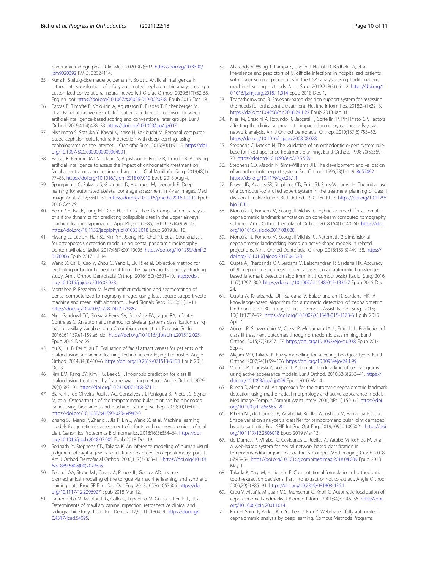<span id="page-9-0"></span>panoramic radiographs. J Clin Med. 2020;9(2):392. [https://doi.org/10.3390/](https://doi.org/10.3390/jcm9020392) [jcm9020392](https://doi.org/10.3390/jcm9020392) PMID: 32024114.

- 35. Kunz F, Stellzig-Eisenhauer A, Zeman F, Boldt J. Artificial intelligence in orthodontics: evaluation of a fully automated cephalometric analysis using a customized convolutional neural network. J Orofac Orthop. 2020;81(1):52-68. English. doi: [https://doi.org/10.1007/s00056-019-00203-8.](https://doi.org/10.1007/s00056-019-00203-8) Epub 2019 Dec 18.
- 36. Patcas R, Timofte R, Volokitin A, Agustsson E, Eliades T, Eichenberger M, et al. Facial attractiveness of cleft patients: a direct comparison between artificial-intelligence-based scoring and conventional rater groups. Eur J Orthod. 2019;41(4):428–33. <https://doi.org/10.1093/ejo/cjz007>.
- 37. Nishimoto S, Sotsuka Y, Kawai K, Ishise H, Kakibuchi M. Personal computerbased cephalometric landmark detection with deep learning, using cephalograms on the internet. J Craniofac Surg. 2019;30(1):91–5. [https://doi.](https://doi.org/10.1097/SCS.0000000000004901) [org/10.1097/SCS.0000000000004901](https://doi.org/10.1097/SCS.0000000000004901).
- 38. Patcas R, Bernini DAJ, Volokitin A, Agustsson E, Rothe R, Timofte R. Applying artificial intelligence to assess the impact of orthognathic treatment on facial attractiveness and estimated age. Int J Oral Maxillofac Surg. 2019;48(1): 77–83. <https://doi.org/10.1016/j.ijom.2018.07.010> Epub 2018 Aug 4.
- 39. Spampinato C, Palazzo S, Giordano D, Aldinucci M, Leonardi R. Deep learning for automated skeletal bone age assessment in X-ray images. Med Image Anal. 2017;36:41–51. <https://doi.org/10.1016/j.media.2016.10.010> Epub 2016 Oct 29.
- 40. Yeom SH, Na JS, Jung HD, Cho HJ, Choi YJ, Lee JS. Computational analysis of airflow dynamics for predicting collapsible sites in the upper airways: machine learning approach. J Appl Physiol (1985). 2019;127(4):959–73. <https://doi.org/10.1152/japplphysiol.01033.2018> Epub 2019 Jul 18.
- 41. Hwang JJ, Lee JH, Han SS, Kim YH, Jeong HG, Choi YJ, et al. Strut analysis for osteoporosis detection model using dental panoramic radiography. Dentomaxillofac Radiol. 2017;46(7):20170006. [https://doi.org/10.1259/dmfr.2](https://doi.org/10.1259/dmfr.20170006) [0170006](https://doi.org/10.1259/dmfr.20170006) Epub 2017 Jul 14.
- 42. Wang X, Cai B, Cao Y, Zhou C, Yang L, Liu R, et al. Objective method for evaluating orthodontic treatment from the lay perspective: an eye-tracking study. Am J Orthod Dentofacial Orthop. 2016;150(4):601–10. [https://doi.](https://doi.org/10.1016/j.ajodo.2016.03.028) [org/10.1016/j.ajodo.2016.03.028](https://doi.org/10.1016/j.ajodo.2016.03.028).
- 43. Mortaheb P, Rezaeian M. Metal artifact reduction and segmentation of dental computerized tomography images using least square support vector machine and mean shift algorithm. J Med Signals Sens. 2016;6(1):1–11. [https://doi.org/10.4103/2228-7477.175867.](https://doi.org/10.4103/2228-7477.175867)
- 44. Niño-Sandoval TC, Guevara Perez SV, González FA, Jaque RA, Infante-Contreras C. An automatic method for skeletal patterns classification using craniomaxillary variables on a Colombian population. Forensic Sci Int. 2016261:159.e1-159.e6. doi: [https://doi.org/10.1016/j.forsciint.2015.12.025.](https://doi.org/10.1016/j.forsciint.2015.12.025) Epub 2015 Dec 25.
- 45. Yu X, Liu B, Pei Y, Xu T. Evaluation of facial attractiveness for patients with malocclusion: a machine-learning technique employing Procrustes. Angle Orthod. 2014;84(3):410–6. <https://doi.org/10.2319/071513-516.1> Epub 2013 Oct 3.
- 46. Kim BM, Kang BY, Kim HG, Baek SH. Prognosis prediction for class III malocclusion treatment by feature wrapping method. Angle Orthod. 2009; 79(4):683–91. <https://doi.org/10.2319/071508-371.1>.
- 47. Bianchi J, de Oliveira Ruellas AC, Gonçalves JR, Paniagua B, Prieto JC, Styner M, et al. Osteoarthritis of the temporomandibular joint can be diagnosed earlier using biomarkers and machine learning. Sci Rep. 2020;10(1):8012. [https://doi.org/10.1038/s41598-020-64942-0.](https://doi.org/10.1038/s41598-020-64942-0)
- 48. Zhang SJ, Meng P, Zhang J, Jia P, Lin J, Wang X, et al. Machine learning models for genetic risk assessment of infants with non-syndromic orofacial cleft. Genomics Proteomics Bioinformatics. 2018;16(5):354–64. [https://doi.](https://doi.org/10.1016/j.gpb.2018.07.005) [org/10.1016/j.gpb.2018.07.005](https://doi.org/10.1016/j.gpb.2018.07.005) Epub 2018 Dec 19.
- 49. Sorihashi Y, Stephens CD, Takada K. An inference modeling of human visual judgment of sagittal jaw-base relationships based on cephalometry: part II. Am J Orthod Dentofacial Orthop. 2000;117(3):303–11. [https://doi.org/10.101](https://doi.org/10.1016/s0889-5406(00)70235-6) [6/s0889-5406\(00\)70235-6.](https://doi.org/10.1016/s0889-5406(00)70235-6)
- 50. Tolpadi AA, Stone ML, Carass A, Prince JL, Gomez AD. Inverse biomechanical modeling of the tongue via machine learning and synthetic training data. Proc SPIE Int Soc Opt Eng. 2018;10576:1057606. [https://doi.](https://doi.org/10.1117/12.2296927) [org/10.1117/12.2296927](https://doi.org/10.1117/12.2296927) Epub 2018 Mar 12.
- 51. Laurenziello M, Montaruli G, Gallo C, Tepedino M, Guida L, Perillo L, et al. Determinants of maxillary canine impaction: retrospective clinical and radiographic study. J Clin Exp Dent. 2017;9(11):e1304–9. [https://doi.org/1](https://doi.org/10.4317/jced.54095) [0.4317/jced.54095.](https://doi.org/10.4317/jced.54095)
- 52. Allareddy V, Wang T, Rampa S, Caplin J, Nalliah R, Badheka A, et al. Prevalence and predictors of C. difficile infections in hospitalized patients with major surgical procedures in the USA: analysis using traditional and machine learning methods. Am J Surg. 2019;218(3):661–2. [https://doi.org/1](https://doi.org/10.1016/j.amjsurg.2018.11.014) [0.1016/j.amjsurg.2018.11.014](https://doi.org/10.1016/j.amjsurg.2018.11.014) Epub 2018 Dec 1.
- 53. Thanathornwong B. Bayesian-based decision support system for assessing the needs for orthodontic treatment. Healthc Inform Res. 2018;24(1):22–8. <https://doi.org/10.4258/hir.2018.24.1.22> Epub 2018 Jan 31.
- 54. Nieri M, Crescini A, Rotundo R, Baccetti T, Cortellini P, Pini Prato GP. Factors affecting the clinical approach to impacted maxillary canines: a Bayesian network analysis. Am J Orthod Dentofacial Orthop. 2010;137(6):755–62. [https://doi.org/10.1016/j.ajodo.2008.08.028.](https://doi.org/10.1016/j.ajodo.2008.08.028)
- 55. Stephens C, Mackin N. The validation of an orthodontic expert system rulebase for fixed appliance treatment planning. Eur J Orthod. 1998;20(5):569– 78. <https://doi.org/10.1093/ejo/20.5.569>.
- 56. Stephens CD, Mackin N, Sims-Williams JH. The development and validation of an orthodontic expert system. Br J Orthod. 1996;23(1):1–9. [8652492](https://www.ncbi.nlm.nih.gov/pubmed/8652492). <https://doi.org/10.1179/bjo.23.1.1>.
- 57. Brown ID, Adams SR, Stephens CD, Erritt SJ, Sims-Williams JH. The initial use of a computer-controlled expert system in the treatment planning of class II division 1 malocclusion. Br J Orthod. 1991;18(1):1–7. [https://doi.org/10.1179/](https://doi.org/10.1179/bjo.18.1.1) [bjo.18.1.1](https://doi.org/10.1179/bjo.18.1.1).
- 58. Montúfar J, Romero M, Scougall-Vilchis RJ. Hybrid approach for automatic cephalometric landmark annotation on cone-beam computed tomography volumes. Am J Orthod Dentofacial Orthop. 2018;154(1):140–50. [https://doi.](https://doi.org/10.1016/j.ajodo.2017.08.028) [org/10.1016/j.ajodo.2017.08.028](https://doi.org/10.1016/j.ajodo.2017.08.028).
- 59. Montúfar J, Romero M, Scougall-Vilchis RJ. Automatic 3-dimensional cephalometric landmarking based on active shape models in related projections. Am J Orthod Dentofacial Orthop. 2018;153(3):449–58. [https://](https://doi.org/10.1016/j.ajodo.2017.06.028) [doi.org/10.1016/j.ajodo.2017.06.028](https://doi.org/10.1016/j.ajodo.2017.06.028).
- 60. Gupta A, Kharbanda OP, Sardana V, Balachandran R, Sardana HK. Accuracy of 3D cephalometric measurements based on an automatic knowledgebased landmark detection algorithm. Int J Comput Assist Radiol Surg. 2016; 11(7):1297–309. <https://doi.org/10.1007/s11548-015-1334-7> Epub 2015 Dec 24.
- 61. Gupta A, Kharbanda OP, Sardana V, Balachandran R, Sardana HK. A knowledge-based algorithm for automatic detection of cephalometric landmarks on CBCT images. Int J Comput Assist Radiol Surg. 2015; 10(11):1737–52. <https://doi.org/10.1007/s11548-015-1173-6> Epub 2015 Apr 7.
- 62. Auconi P, Scazzocchio M, Cozza P, McNamara JA Jr, Franchi L. Prediction of class III treatment outcomes through orthodontic data mining. Eur J Orthod. 2015;37(3):257–67. <https://doi.org/10.1093/ejo/cju038> Epub 2014 Sep 4.
- 63. Akçam MO, Takada K. Fuzzy modelling for selecting headgear types. Eur J Orthod. 2002;24(1):99–106. <https://doi.org/10.1093/ejo/24.1.99>.
- 64. Vucinić P, Trpovski Z, Sćepan I. Automatic landmarking of cephalograms using active appearance models. Eur J Orthod. 2010;32(3):233–41. [https://](https://doi.org/10.1093/ejo/cjp099) [doi.org/10.1093/ejo/cjp099](https://doi.org/10.1093/ejo/cjp099) Epub 2010 Mar 4.
- 65. Rueda S, Alcañiz M. An approach for the automatic cephalometric landmark detection using mathematical morphology and active appearance models. Med Image Comput Comput Assist Interv. 2006;9(Pt 1):159–66. [https://doi.](https://doi.org/10.1007/11866565_20) [org/10.1007/11866565\\_20.](https://doi.org/10.1007/11866565_20)
- 66. Ribera NT, de Dumast P, Yatabe M, Ruellas A, Ioshida M, Paniagua B, et al. Shape variation analyzer: a classifier for temporomandibular joint damaged by osteoarthritis. Proc SPIE Int Soc Opt Eng. 2019;10950:1095021. [https://doi.](https://doi.org/10.1117/12.2506018) [org/10.1117/12.2506018](https://doi.org/10.1117/12.2506018) Epub 2019 Mar 13.
- 67. de Dumast P, Mirabel C, Cevidanes L, Ruellas A, Yatabe M, Ioshida M, et al. A web-based system for neural network based classification in temporomandibular joint osteoarthritis. Comput Med Imaging Graph. 2018; 67:45–54. <https://doi.org/10.1016/j.compmedimag.2018.04.009> Epub 2018 May 1.
- 68. Takada K, Yagi M, Horiguchi E. Computational formulation of orthodontic tooth-extraction decisions. Part I: to extract or not to extract. Angle Orthod. 2009;79(5):885–91. <https://doi.org/10.2319/081908-436.1>.
- 69. Grau V, Alcañiz M, Juan MC, Monserrat C, Knoll C. Automatic localization of cephalometric Landmarks. J Biomed Inform. 2001;34(3):146–56. [https://doi.](https://doi.org/10.1006/jbin.2001.1014) [org/10.1006/jbin.2001.1014](https://doi.org/10.1006/jbin.2001.1014).
- 70. Kim H, Shim E, Park J, Kim YJ, Lee U, Kim Y. Web-based fully automated cephalometric analysis by deep learning. Comput Methods Programs